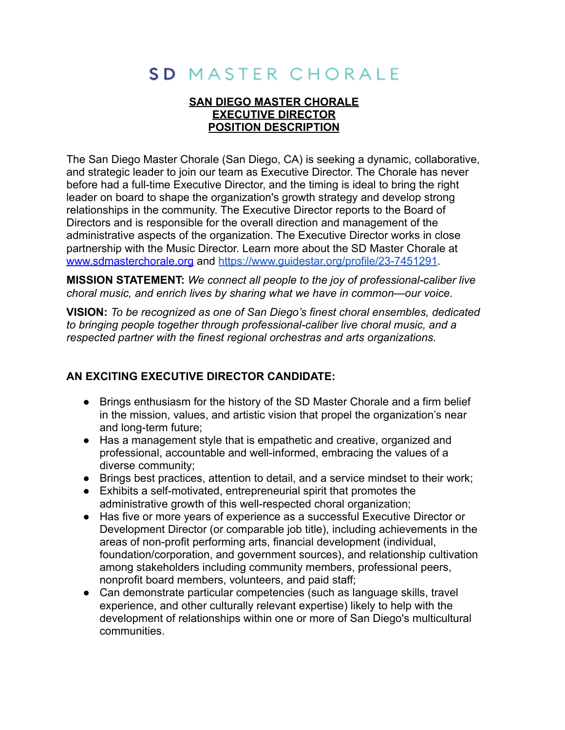# SD MASTER CHORALE

## **SAN DIEGO MASTER CHORALE EXECUTIVE DIRECTOR POSITION DESCRIPTION**

The San Diego Master Chorale (San Diego, CA) is seeking a dynamic, collaborative, and strategic leader to join our team as Executive Director. The Chorale has never before had a full-time Executive Director, and the timing is ideal to bring the right leader on board to shape the organization's growth strategy and develop strong relationships in the community. The Executive Director reports to the Board of Directors and is responsible for the overall direction and management of the administrative aspects of the organization. The Executive Director works in close partnership with the Music Director. Learn more about the SD Master Chorale at [www.sdmasterchorale.org](http://www.sdmasterchorale.org) and <https://www.guidestar.org/profile/23-7451291>.

**MISSION STATEMENT:** *We connect all people to the joy of professional-caliber live choral music, and enrich lives by sharing what we have in common—our voice.*

**VISION:** *To be recognized as one of San Diego's finest choral ensembles, dedicated to bringing people together through professional-caliber live choral music, and a respected partner with the finest regional orchestras and arts organizations.*

# **AN EXCITING EXECUTIVE DIRECTOR CANDIDATE:**

- Brings enthusiasm for the history of the SD Master Chorale and a firm belief in the mission, values, and artistic vision that propel the organization's near and long-term future;
- Has a management style that is empathetic and creative, organized and professional, accountable and well-informed, embracing the values of a diverse community;
- Brings best practices, attention to detail, and a service mindset to their work;
- Exhibits a self-motivated, entrepreneurial spirit that promotes the administrative growth of this well-respected choral organization;
- Has five or more years of experience as a successful Executive Director or Development Director (or comparable job title), including achievements in the areas of non-profit performing arts, financial development (individual, foundation/corporation, and government sources), and relationship cultivation among stakeholders including community members, professional peers, nonprofit board members, volunteers, and paid staff;
- Can demonstrate particular competencies (such as language skills, travel experience, and other culturally relevant expertise) likely to help with the development of relationships within one or more of San Diego's multicultural communities.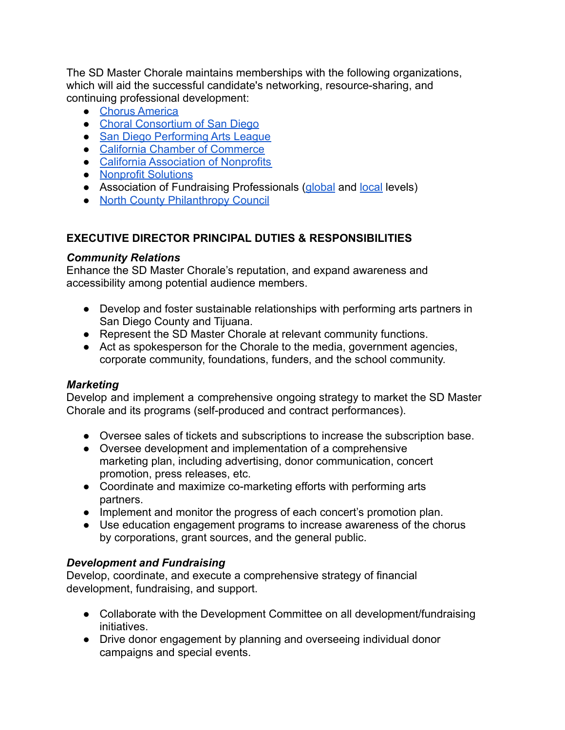The SD Master Chorale maintains memberships with the following organizations, which will aid the successful candidate's networking, resource-sharing, and continuing professional development:

- [Chorus America](https://chorusamerica.org/)
- [Choral Consortium of San Diego](https://www.sdsings.org/)
- [San Diego Performing Arts League](https://sdpal.org/)
- [California Chamber of Commerce](https://www.calchamber.com/)
- [California Association of Nonprofits](https://calnonprofits.org/)
- [Nonprofit Solutions](https://npsolutions.org/)
- Association of Fundraising Professionals [\(global](https://afpglobal.org/) and [local](https://community.afpglobal.org/afpcasandiegochapter/home) levels)
- [North County Philanthropy Council](https://ncphilanthropy.org/)

## **EXECUTIVE DIRECTOR PRINCIPAL DUTIES & RESPONSIBILITIES**

### *Community Relations*

Enhance the SD Master Chorale's reputation, and expand awareness and accessibility among potential audience members.

- Develop and foster sustainable relationships with performing arts partners in San Diego County and Tijuana.
- Represent the SD Master Chorale at relevant community functions.
- *●* Act as spokesperson for the Chorale to the media, government agencies, corporate community, foundations, funders, and the school community.

### *Marketing*

Develop and implement a comprehensive ongoing strategy to market the SD Master Chorale and its programs (self-produced and contract performances).

- Oversee sales of tickets and subscriptions to increase the subscription base.
- Oversee development and implementation of a comprehensive marketing plan, including advertising, donor communication, concert promotion, press releases, etc.
- Coordinate and maximize co-marketing efforts with performing arts partners.
- Implement and monitor the progress of each concert's promotion plan.
- Use education engagement programs to increase awareness of the chorus by corporations, grant sources, and the general public.

### *Development and Fundraising*

Develop, coordinate, and execute a comprehensive strategy of financial development, fundraising, and support.

- Collaborate with the Development Committee on all development/fundraising initiatives.
- Drive donor engagement by planning and overseeing individual donor campaigns and special events.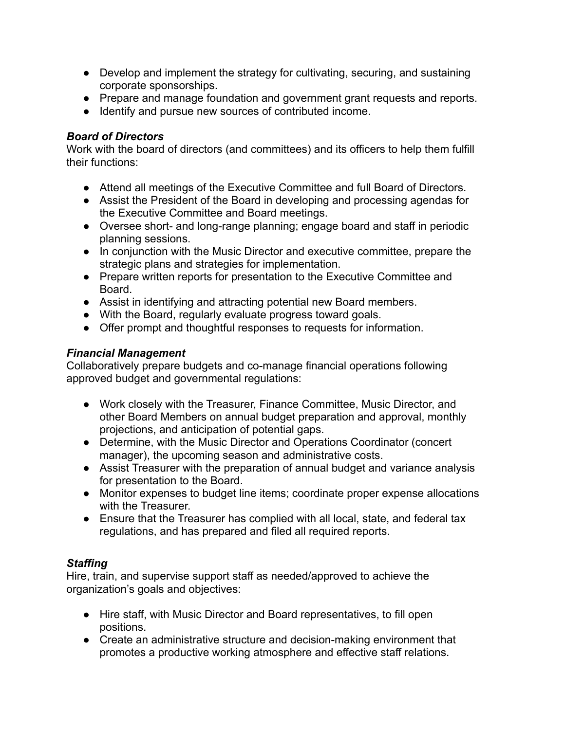- Develop and implement the strategy for cultivating, securing, and sustaining corporate sponsorships.
- Prepare and manage foundation and government grant requests and reports.
- Identify and pursue new sources of contributed income.

## *Board of Directors*

Work with the board of directors (and committees) and its officers to help them fulfill their functions:

- Attend all meetings of the Executive Committee and full Board of Directors.
- Assist the President of the Board in developing and processing agendas for the Executive Committee and Board meetings.
- Oversee short- and long-range planning; engage board and staff in periodic planning sessions.
- In conjunction with the Music Director and executive committee, prepare the strategic plans and strategies for implementation.
- Prepare written reports for presentation to the Executive Committee and Board.
- Assist in identifying and attracting potential new Board members.
- With the Board, regularly evaluate progress toward goals.
- Offer prompt and thoughtful responses to requests for information.

# *Financial Management*

Collaboratively prepare budgets and co-manage financial operations following approved budget and governmental regulations:

- Work closely with the Treasurer, Finance Committee, Music Director, and other Board Members on annual budget preparation and approval, monthly projections, and anticipation of potential gaps.
- Determine, with the Music Director and Operations Coordinator (concert manager), the upcoming season and administrative costs.
- Assist Treasurer with the preparation of annual budget and variance analysis for presentation to the Board.
- Monitor expenses to budget line items; coordinate proper expense allocations with the Treasurer.
- Ensure that the Treasurer has complied with all local, state, and federal tax regulations, and has prepared and filed all required reports.

# *Staffing*

Hire, train, and supervise support staff as needed/approved to achieve the organization's goals and objectives:

- Hire staff, with Music Director and Board representatives, to fill open positions.
- Create an administrative structure and decision-making environment that promotes a productive working atmosphere and effective staff relations.